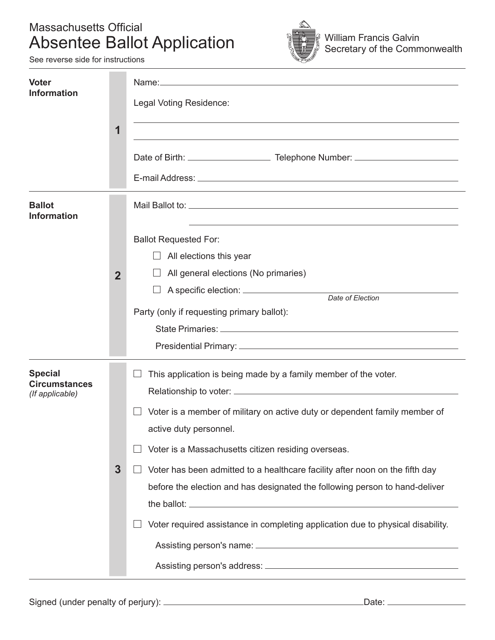#### Massachusetts Official Absentee Ballot Application



See reverse side for instructions

| <b>Voter</b><br><b>Information</b>                        | $\mathbf 1$    | Legal Voting Residence:<br><u> 1989 - Johann Stoff, amerikansk politiker (d. 1989)</u><br>and the control of the control of the control of the control of the control of the control of the control of the                                                                                                                                                                                                                                                                       |
|-----------------------------------------------------------|----------------|----------------------------------------------------------------------------------------------------------------------------------------------------------------------------------------------------------------------------------------------------------------------------------------------------------------------------------------------------------------------------------------------------------------------------------------------------------------------------------|
| <b>Ballot</b><br><b>Information</b>                       | $\overline{2}$ | <b>Ballot Requested For:</b><br>All elections this year<br>$\Box$<br>All general elections (No primaries)<br>Party (only if requesting primary ballot):                                                                                                                                                                                                                                                                                                                          |
| <b>Special</b><br><b>Circumstances</b><br>(If applicable) | $\mathbf{3}$   | This application is being made by a family member of the voter.<br>Voter is a member of military on active duty or dependent family member of<br>active duty personnel.<br>Voter is a Massachusetts citizen residing overseas.<br>Voter has been admitted to a healthcare facility after noon on the fifth day<br>before the election and has designated the following person to hand-deliver<br>Voter required assistance in completing application due to physical disability. |